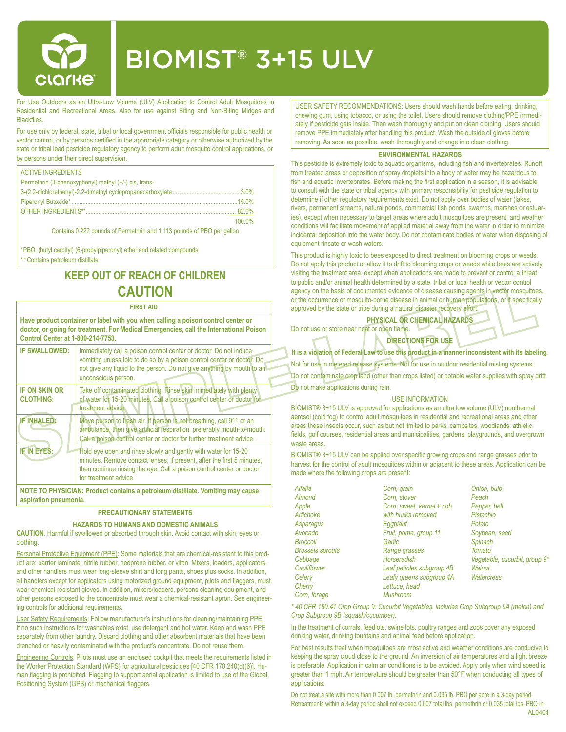

# BIOMIST® 3+15 ULV

For Use Outdoors as an Ultra-Low Volume (ULV) Application to Control Adult Mosquitoes in Residential and Recreational Areas. Also for use against Biting and Non-Biting Midges and **Blackflies** 

For use only by federal, state, tribal or local government officials responsible for public health or vector control, or by persons certified in the appropriate category or otherwise authorized by the state or tribal lead pesticide regulatory agency to perform adult mosquito control applications, or by persons under their direct supervision.

| <b>ACTIVE INGREDIENTS</b>                             |        |
|-------------------------------------------------------|--------|
| Permethrin (3-phenoxyphenyl) methyl (+/-) cis, trans- |        |
|                                                       |        |
|                                                       |        |
|                                                       | .82.0% |
|                                                       | 100.0% |

Contains 0.222 pounds of Permethrin and 1.113 pounds of PBO per gallon

\*PBO, (butyl carbityl) (6-propylpiperonyl) ether and related compounds \*\* Contains petroleum distillate

# **KEEP OUT OF REACH OF CHILDREN CAUTION**

| <b>FIRST AID</b>                                                                                                                                                                                                       |                                                                                                                                                                                                                                              |  |  |  |  |  |
|------------------------------------------------------------------------------------------------------------------------------------------------------------------------------------------------------------------------|----------------------------------------------------------------------------------------------------------------------------------------------------------------------------------------------------------------------------------------------|--|--|--|--|--|
| Have product container or label with you when calling a poison control center or<br>doctor, or going for treatment. For Medical Emergencies, call the International Poison<br><b>Control Center at 1-800-214-7753.</b> |                                                                                                                                                                                                                                              |  |  |  |  |  |
| <b>IF SWALLOWED:</b>                                                                                                                                                                                                   | Immediately call a poison control center or doctor. Do not induce<br>vomiting unless told to do so by a poison control center or doctor. Do<br>not give any liquid to the person. Do not give anything by mouth to an<br>unconscious person. |  |  |  |  |  |
| <b>IF ON SKIN OR</b><br><b>CLOTHING:</b>                                                                                                                                                                               | Take off contaminated clothing. Rinse skin immediately with plenty<br>of water for 15-20 minutes. Call a poison control center or doctor for<br>treatment advice.                                                                            |  |  |  |  |  |
| <b>IF INHALED:</b>                                                                                                                                                                                                     | Move person to fresh air. If person is not breathing, call 911 or an<br>ambulance, then give artificial respiration, preferably mouth-to-mouth.<br>Call a poison control center or doctor for further treatment advice.                      |  |  |  |  |  |
| <b>IF IN EYES:</b>                                                                                                                                                                                                     | Hold eye open and rinse slowly and gently with water for 15-20<br>minutes. Remove contact lenses, if present, after the first 5 minutes,<br>then continue rinsing the eye. Call a poison control center or doctor<br>for treatment advice.   |  |  |  |  |  |
| NOTE TO PHYSICIAN: Product contains a petroleum distillate. Vomiting may cause                                                                                                                                         |                                                                                                                                                                                                                                              |  |  |  |  |  |

**aspiration pneumonia.**

# **PRECAUTIONARY STATEMENTS**

## **HAZARDS TO HUMANS AND DOMESTIC ANIMALS**

**CAUTION**. Harmful if swallowed or absorbed through skin. Avoid contact with skin, eyes or clothing.

Personal Protective Equipment (PPE): Some materials that are chemical-resistant to this product are: barrier laminate, nitrile rubber, neoprene rubber, or viton. Mixers, loaders, applicators, and other handlers must wear long-sleeve shirt and long pants, shoes plus socks. In addition, all handlers except for applicators using motorized ground equipment, pilots and flaggers, must wear chemical-resistant gloves. In addition, mixers/loaders, persons cleaning equipment, and other persons exposed to the concentrate must wear a chemical-resistant apron. See engineering controls for additional requirements.

User Safety Requirements: Follow manufacturer's instructions for cleaning/maintaining PPE. If no such instructions for washables exist, use detergent and hot water. Keep and wash PPE separately from other laundry. Discard clothing and other absorbent materials that have been drenched or heavily contaminated with the product's concentrate. Do not reuse them.

Engineering Controls: Pilots must use an enclosed cockpit that meets the requirements listed in the Worker Protection Standard (WPS) for agricultural pesticides [40 CFR 170.240(d)(6)]. Human flagging is prohibited. Flagging to support aerial application is limited to use of the Global Positioning System (GPS) or mechanical flaggers.

USER SAFETY RECOMMENDATIONS: Users should wash hands before eating, drinking, chewing gum, using tobacco, or using the toilet. Users should remove clothing/PPE immediately if pesticide gets inside. Then wash thoroughly and put on clean clothing. Users should remove PPE immediately after handling this product. Wash the outside of gloves before removing. As soon as possible, wash thoroughly and change into clean clothing.

## **ENVIRONMENTAL HAZARDS**

This pesticide is extremely toxic to aquatic organisms, including fish and invertebrates. Runoff from treated areas or deposition of spray droplets into a body of water may be hazardous to fish and aquatic invertebrates. Before making the first application in a season, it is advisable to consult with the state or tribal agency with primary responsibility for pesticide regulation to determine if other regulatory requirements exist. Do not apply over bodies of water (lakes, rivers, permanent streams, natural ponds, commercial fish ponds, swamps, marshes or estuaries), except when necessary to target areas where adult mosquitoes are present, and weather conditions will facilitate movement of applied material away from the water in order to minimize incidental deposition into the water body. Do not contaminate bodies of water when disposing of equipment rinsate or wash waters.

This product is highly toxic to bees exposed to direct treatment on blooming crops or weeds. Do not apply this product or allow it to drift to blooming crops or weeds while bees are actively visiting the treatment area, except when applications are made to prevent or control a threat to public and/or animal health determined by a state, tribal or local health or vector control agency on the basis of documented evidence of disease causing agents in vector mosquitoes, or the occurrence of mosquito-borne disease in animal or human populations, or if specifically approved by the state or tribe during a natural disaster recovery effort.

**PHYSICAL OR CHEMICAL HAZARDS**

Do not use or store near heat or open flame. **DIRECTIONS FOR USE**

**It is a violation of Federal Law to use this product in a manner inconsistent with its labeling.**

Not for use in metered release systems. Not for use in outdoor residential misting systems. Do not contaminate crop land (other than crops listed) or potable water supplies with spray drift. Do not make applications during rain.

#### USE INFORMATION

BIOMIST® 3+15 ULV is approved for applications as an ultra low volume (ULV) nonthermal aerosol (cold fog) to control adult mosquitoes in residential and recreational areas and other areas these insects occur, such as but not limited to parks, campsites, woodlands, athletic fields, golf courses, residential areas and municipalities, gardens, playgrounds, and overgrown waste areas.

BIOMIST® 3+15 ULV can be applied over specific growing crops and range grasses prior to harvest for the control of adult mosquitoes within or adjacent to these areas. Application can be made where the following crops are present:

| Alfalfa                 | Corn, grain               | Onion, bulb                   |
|-------------------------|---------------------------|-------------------------------|
| Almond                  | Corn, stover              | Peach                         |
| Apple                   | Corn, sweet, kernel + cob | Pepper, bell                  |
| Artichoke               | with husks removed        | Pistachio                     |
| Asparagus               | Eggplant                  | Potato                        |
| Avocado                 | Fruit, pome, group 11     | Soybean, seed                 |
| <b>Broccoli</b>         | Garlic                    | Spinach                       |
| <b>Brussels sprouts</b> | Range grasses             | Tomato                        |
| Cabbage                 | Horseradish               | Vegetable, cucurbit, group 9* |
| Cauliflower             | Leaf petioles subgroup 4B | Walnut                        |
| Celery                  | Leafy greens subgroup 4A  | Watercress                    |
| Cherry                  | Lettuce, head             |                               |
| Corn, forage            | <b>Mushroom</b>           |                               |

*\* 40 CFR 180.41 Crop Group 9: Cucurbit Vegetables, includes Crop Subgroup 9A (melon) and Crop Subgroup 9B (squash/cucumber).*

In the treatment of corrals, feedlots, swine lots, poultry ranges and zoos cover any exposed drinking water, drinking fountains and animal feed before application.

For best results treat when mosquitoes are most active and weather conditions are conducive to keeping the spray cloud close to the ground. An inversion of air temperatures and a light breeze is preferable. Application in calm air conditions is to be avoided. Apply only when wind speed is greater than 1 mph. Air temperature should be greater than 50°F when conducting all types of applications.

Do not treat a site with more than 0.007 lb. permethrin and 0.035 lb. PBO per acre in a 3-day period. Retreatments within a 3-day period shall not exceed 0.007 total lbs. permethrin or 0.035 total lbs. PBO in AI 0404